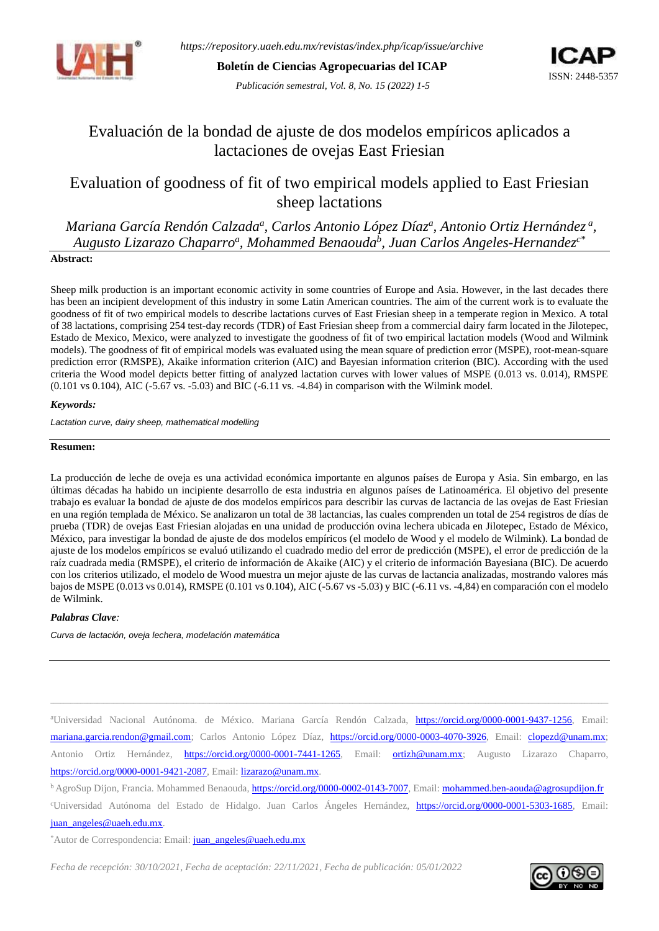

**Boletín de Ciencias Agropecuarias del ICAP**

*Publicación semestral, Vol. 8, No. 15 (2022) 1-5*



# Evaluación de la bondad de ajuste de dos modelos empíricos aplicados a lactaciones de ovejas East Friesian

# Evaluation of goodness of fit of two empirical models applied to East Friesian sheep lactations

*Mariana García Rendón Calzada<sup>a</sup>, Carlos Antonio López Díaz<sup>a</sup>, Antonio Ortiz Hernández<sup>a</sup>, Augusto Lizarazo Chaparro<sup>a</sup> , Mohammed Benaouda b , Juan Carlos Angeles-Hernandezc\** **Abstract:**

Sheep milk production is an important economic activity in some countries of Europe and Asia. However, in the last decades there has been an incipient development of this industry in some Latin American countries. The aim of the current work is to evaluate the goodness of fit of two empirical models to describe lactations curves of East Friesian sheep in a temperate region in Mexico. A total of 38 lactations, comprising 254 test-day records (TDR) of East Friesian sheep from a commercial dairy farm located in the Jilotepec, Estado de Mexico, Mexico, were analyzed to investigate the goodness of fit of two empirical lactation models (Wood and Wilmink models). The goodness of fit of empirical models was evaluated using the mean square of prediction error (MSPE), root-mean-square prediction error (RMSPE), Akaike information criterion (AIC) and Bayesian information criterion (BIC). According with the used criteria the Wood model depicts better fitting of analyzed lactation curves with lower values of MSPE (0.013 vs. 0.014), RMSPE (0.101 vs 0.104), AIC (-5.67 vs. -5.03) and BIC (-6.11 vs. -4.84) in comparison with the Wilmink model.

#### *Keywords:*

*Lactation curve, dairy sheep, mathematical modelling*

#### **Resumen:**

La producción de leche de oveja es una actividad económica importante en algunos países de Europa y Asia. Sin embargo, en las últimas décadas ha habido un incipiente desarrollo de esta industria en algunos países de Latinoamérica. El objetivo del presente trabajo es evaluar la bondad de ajuste de dos modelos empíricos para describir las curvas de lactancia de las ovejas de East Friesian en una región templada de México. Se analizaron un total de 38 lactancias, las cuales comprenden un total de 254 registros de días de prueba (TDR) de ovejas East Friesian alojadas en una unidad de producción ovina lechera ubicada en Jilotepec, Estado de México, México, para investigar la bondad de ajuste de dos modelos empíricos (el modelo de Wood y el modelo de Wilmink). La bondad de ajuste de los modelos empíricos se evaluó utilizando el cuadrado medio del error de predicción (MSPE), el error de predicción de la raíz cuadrada media (RMSPE), el criterio de información de Akaike (AIC) y el criterio de información Bayesiana (BIC). De acuerdo con los criterios utilizado, el modelo de Wood muestra un mejor ajuste de las curvas de lactancia analizadas, mostrando valores más bajos de MSPE (0.013 vs 0.014), RMSPE (0.101 vs 0.104), AIC (-5.67 vs -5.03) y BIC (-6.11 vs. -4,84) en comparación con el modelo de Wilmink.

#### *Palabras Clave:*

*Curva de lactación, oveja lechera, modelación matemática*

aUniversidad Nacional Autónoma. de México. Mariana García Rendón Calzada, [https://orcid.org/0000-0001-9437-1256,](https://orcid.org/0000-0001-9437-1256) Email: [mariana.garcia.rendon@gmail.com;](mailto:mariana.garcia.rendon@gmail.com) Carlos Antonio López Díaz, [https://orcid.org/0000-0003-4070-3926,](https://orcid.org/0000-0003-4070-3926) Email: [clopezd@unam.mx;](mailto:clopezd@unam.mx) Antonio Ortiz Hernández, [https://orcid.org/0000-0001-7441-1265,](https://orcid.org/0000-0001-7441-1265) Email: [ortizh@unam.mx;](mailto:ortizh@unam.mx) Augusto Lizarazo Chaparro, [https://orcid.org/0000-0001-9421-2087,](https://orcid.org/0000-0001-9421-2087) Email: [lizarazo@unam.mx.](mailto:lizarazo@unam.mx)

**b** AgroSup Dijon, Francia. Mohammed Benaouda, **https://orcid.org/0000-0002-0143-7007**, Email[: mohammed.ben-aouda@agrosupdijon.fr](mailto:mohammed.ben-aouda@agrosupdijon.fr) <sup>c</sup>Universidad Autónoma del Estado de Hidalgo. Juan Carlos Ángeles Hernández, [https://orcid.org/0000-0001-5303-1685,](https://orcid.org/0000-0001-5303-1685) Email: [juan\\_angeles@uaeh.edu.mx.](mailto:juan_angeles@uaeh.edu.mx)

\*Autor de Correspondencia: Email[: juan\\_angeles@uaeh.edu.mx](mailto:juan_angeles@uaeh.edu.mx)

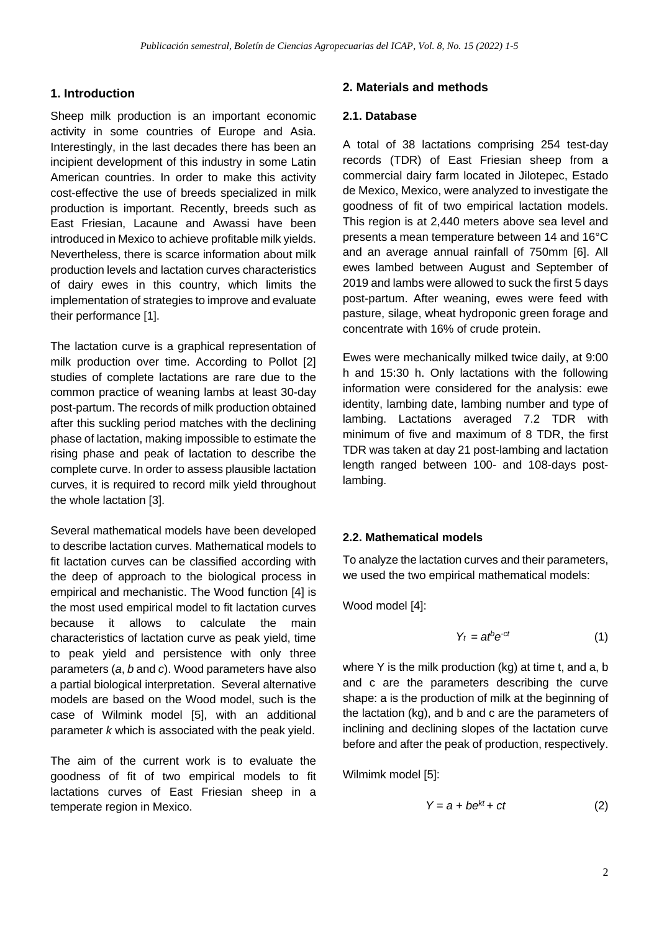## **1. Introduction**

Sheep milk production is an important economic activity in some countries of Europe and Asia. Interestingly, in the last decades there has been an incipient development of this industry in some Latin American countries. In order to make this activity cost-effective the use of breeds specialized in milk production is important. Recently, breeds such as East Friesian, Lacaune and Awassi have been introduced in Mexico to achieve profitable milk yields. Nevertheless, there is scarce information about milk production levels and lactation curves characteristics of dairy ewes in this country, which limits the implementation of strategies to improve and evaluate their performance [1].

The lactation curve is a graphical representation of milk production over time. According to Pollot [2] studies of complete lactations are rare due to the common practice of weaning lambs at least 30-day post-partum. The records of milk production obtained after this suckling period matches with the declining phase of lactation, making impossible to estimate the rising phase and peak of lactation to describe the complete curve. In order to assess plausible lactation curves, it is required to record milk yield throughout the whole lactation [3].

Several mathematical models have been developed to describe lactation curves. Mathematical models to fit lactation curves can be classified according with the deep of approach to the biological process in empirical and mechanistic. The Wood function [4] is the most used empirical model to fit lactation curves because it allows to calculate the main characteristics of lactation curve as peak yield, time to peak yield and persistence with only three parameters (*a*, *b* and *c*). Wood parameters have also a partial biological interpretation. Several alternative models are based on the Wood model, such is the case of Wilmink model [5], with an additional parameter *k* which is associated with the peak yield.

The aim of the current work is to evaluate the goodness of fit of two empirical models to fit lactations curves of East Friesian sheep in a temperate region in Mexico.

### **2. Materials and methods**

#### **2.1. Database**

A total of 38 lactations comprising 254 test-day records (TDR) of East Friesian sheep from a commercial dairy farm located in Jilotepec, Estado de Mexico, Mexico, were analyzed to investigate the goodness of fit of two empirical lactation models. This region is at 2,440 meters above sea level and presents a mean temperature between 14 and 16°C and an average annual rainfall of 750mm [6]. All ewes lambed between August and September of 2019 and lambs were allowed to suck the first 5 days post-partum. After weaning, ewes were feed with pasture, silage, wheat hydroponic green forage and concentrate with 16% of crude protein.

Ewes were mechanically milked twice daily, at 9:00 h and 15:30 h. Only lactations with the following information were considered for the analysis: ewe identity, lambing date, lambing number and type of lambing. Lactations averaged 7.2 TDR with minimum of five and maximum of 8 TDR, the first TDR was taken at day 21 post-lambing and lactation length ranged between 100- and 108-days postlambing.

#### **2.2. Mathematical models**

To analyze the lactation curves and their parameters, we used the two empirical mathematical models:

Wood model [4]:

$$
Y_t = a t^b e^{-ct} \tag{1}
$$

where Y is the milk production (kg) at time t, and a, b and c are the parameters describing the curve shape: a is the production of milk at the beginning of the lactation (kg), and b and c are the parameters of inclining and declining slopes of the lactation curve before and after the peak of production, respectively.

Wilmimk model [5]:

$$
Y = a + be^{kt} + ct \tag{2}
$$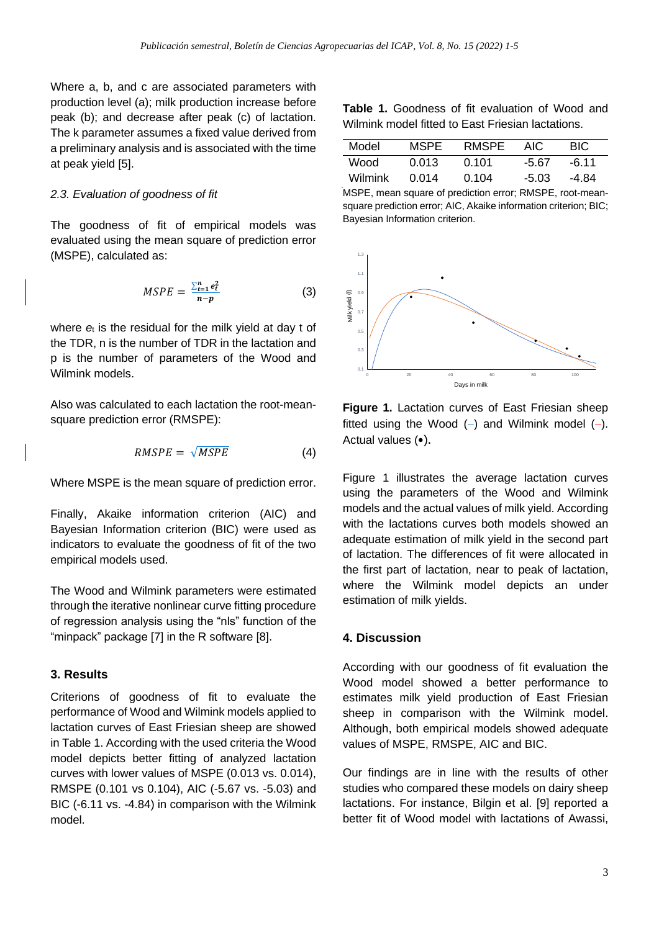Where a, b, and c are associated parameters with production level (a); milk production increase before peak (b); and decrease after peak (c) of lactation. The k parameter assumes a fixed value derived from a preliminary analysis and is associated with the time at peak yield [5].

## *2.3. Evaluation of goodness of fit*

The goodness of fit of empirical models was evaluated using the mean square of prediction error (MSPE), calculated as:

$$
MSPE = \frac{\sum_{t=1}^{n} e_t^2}{n-p}
$$
 (3)

where *e*<sup>t</sup> is the residual for the milk yield at day t of the TDR, n is the number of TDR in the lactation and p is the number of parameters of the Wood and Wilmink models.

Also was calculated to each lactation the root-meansquare prediction error (RMSPE):

$$
RMSPE = \sqrt{MSPE} \tag{4}
$$

Where MSPE is the mean square of prediction error.

Finally, Akaike information criterion (AIC) and Bayesian Information criterion (BIC) were used as indicators to evaluate the goodness of fit of the two empirical models used.

The Wood and Wilmink parameters were estimated through the iterative nonlinear curve fitting procedure of regression analysis using the "nls" function of the "minpack" package [7] in the R software [8].

# **3. Results**

Criterions of goodness of fit to evaluate the performance of Wood and Wilmink models applied to lactation curves of East Friesian sheep are showed in Table 1. According with the used criteria the Wood model depicts better fitting of analyzed lactation curves with lower values of MSPE (0.013 vs. 0.014), RMSPE (0.101 vs 0.104), AIC (-5.67 vs. -5.03) and BIC (-6.11 vs. -4.84) in comparison with the Wilmink model.

**Table 1.** Goodness of fit evaluation of Wood and Wilmink model fitted to East Friesian lactations.

| Model   | MSPE  | <b>RMSPE</b> | AIC.  | BIC   |
|---------|-------|--------------|-------|-------|
| Wood    | 0.013 | 0.101        | -5.67 | -6.11 |
| Wilmink | 0.014 | 0.104        | -5.03 | -4.84 |

MSPE, mean square of prediction error; RMSPE, root-meansquare prediction error; AIC, Akaike information criterion; BIC; Bayesian Information criterion.



**Figure 1.** Lactation curves of East Friesian sheep fitted using the Wood  $(-)$  and Wilmink model  $(-)$ . Actual values (•).

Figure 1 illustrates the average lactation curves using the parameters of the Wood and Wilmink models and the actual values of milk yield. According with the lactations curves both models showed an adequate estimation of milk yield in the second part of lactation. The differences of fit were allocated in the first part of lactation, near to peak of lactation, where the Wilmink model depicts an under estimation of milk yields.

# **4. Discussion**

According with our goodness of fit evaluation the Wood model showed a better performance to estimates milk yield production of East Friesian sheep in comparison with the Wilmink model. Although, both empirical models showed adequate values of MSPE, RMSPE, AIC and BIC.

Our findings are in line with the results of other studies who compared these models on dairy sheep lactations. For instance, Bilgin et al. [9] reported a better fit of Wood model with lactations of Awassi,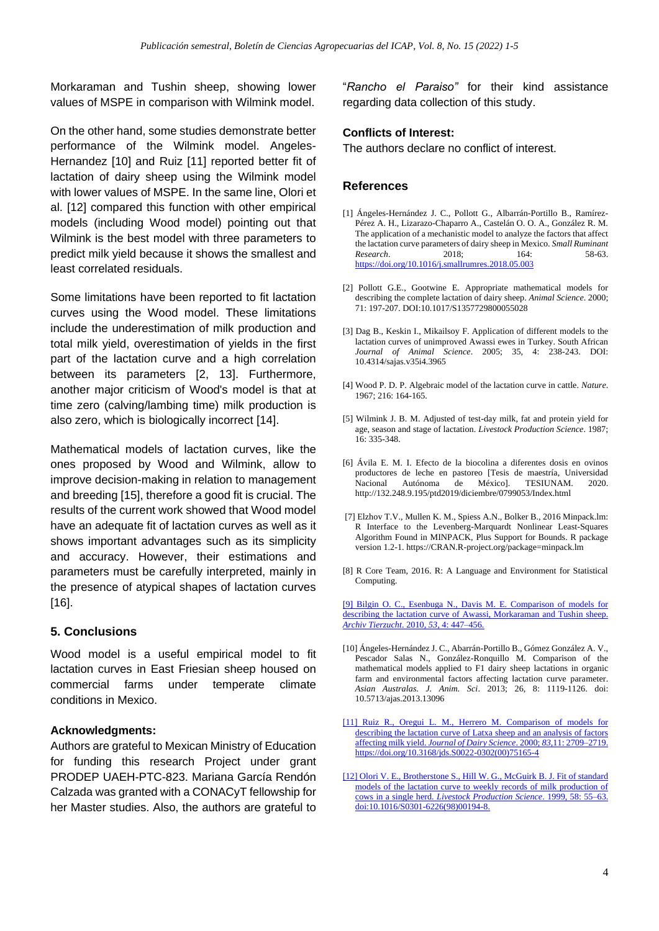Morkaraman and Tushin sheep, showing lower values of MSPE in comparison with Wilmink model.

On the other hand, some studies demonstrate better performance of the Wilmink model. Angeles-Hernandez [10] and Ruiz [11] reported better fit of lactation of dairy sheep using the Wilmink model with lower values of MSPE. In the same line, Olori et al. [12] compared this function with other empirical models (including Wood model) pointing out that Wilmink is the best model with three parameters to predict milk yield because it shows the smallest and least correlated residuals.

Some limitations have been reported to fit lactation curves using the Wood model. These limitations include the underestimation of milk production and total milk yield, overestimation of yields in the first part of the lactation curve and a high correlation between its parameters [2, 13]. Furthermore, another major criticism of Wood's model is that at time zero (calving/lambing time) milk production is also zero, which is biologically incorrect [14].

Mathematical models of lactation curves, like the ones proposed by Wood and Wilmink, allow to improve decision-making in relation to management and breeding [15], therefore a good fit is crucial. The results of the current work showed that Wood model have an adequate fit of lactation curves as well as it shows important advantages such as its simplicity and accuracy. However, their estimations and parameters must be carefully interpreted, mainly in the presence of atypical shapes of lactation curves [16].

# **5. Conclusions**

Wood model is a useful empirical model to fit lactation curves in East Friesian sheep housed on commercial farms under temperate climate conditions in Mexico.

#### **Acknowledgments:**

Authors are grateful to Mexican Ministry of Education for funding this research Project under grant PRODEP UAEH-PTC-823. Mariana García Rendón Calzada was granted with a CONACyT fellowship for her Master studies. Also, the authors are grateful to

"*Rancho el Paraiso"* for their kind assistance regarding data collection of this study.

## **Conflicts of Interest:**

The authors declare no conflict of interest.

# **References**

- [1] Ángeles-Hernández J. C., Pollott G., Albarrán-Portillo B., Ramírez-Pérez A. H., Lizarazo-Chaparro A., Castelán O. O. A., González R. M. The application of a mechanistic model to analyze the factors that affect the lactation curve parameters of dairy sheep in Mexico. *Small Ruminant Research*. 2018; 164: 58-63. <https://doi.org/10.1016/j.smallrumres.2018.05.003>
- [2] Pollott G.E., Gootwine E. Appropriate mathematical models for describing the complete lactation of dairy sheep. *Animal Science*. 2000; 71: 197-207. DOI:10.1017/S1357729800055028
- [3] Dag B., Keskin I., Mikailsoy F. Application of different models to the lactation curves of unimproved Awassi ewes in Turkey. South African *Journal of Animal Science*. 2005; 35, 4: 238-243. DOI: 10.4314/sajas.v35i4.3965
- [4] Wood P. D. P. Algebraic model of the lactation curve in cattle. *Nature*. 1967; 216: 164-165.
- [5] Wilmink J. B. M. Adjusted of test-day milk, fat and protein yield for age, season and stage of lactation. *Livestock Production Science*. 1987; 16: 335-348.
- [6] Ávila E. M. I. Efecto de la biocolina a diferentes dosis en ovinos productores de leche en pastoreo [Tesis de maestría, Universidad Nacional Autónoma de México]. TESIUNAM. 2020. http://132.248.9.195/ptd2019/diciembre/0799053/Index.html
- [7] Elzhov T.V., Mullen K. M., Spiess A.N., Bolker B., 2016 Minpack.lm: R Interface to the Levenberg-Marquardt Nonlinear Least-Squares Algorithm Found in MINPACK, Plus Support for Bounds. R package version 1.2-1. https://CRAN.R-project.org/package=minpack.lm
- [8] R Core Team, 2016. R: A Language and Environment for Statistical Computing.

[9] Bilgin O. C., Esenbuga N., Davis M. E. Comparison of models for describing the lactation curve of Awassi, Morkaraman and Tushin sheep. *Archiv Tierzucht*. 2010, *53*, 4: 447–456.

- [10] Ángeles-Hernández J. C., Abarrán-Portillo B., Gómez González A. V., Pescador Salas N., González-Ronquillo M. Comparison of the mathematical models applied to F1 dairy sheep lactations in organic farm and environmental factors affecting lactation curve parameter. *Asian Australas. J. Anim. Sci*. 2013; 26, 8: 1119-1126. doi: 10.5713/ajas.2013.13096
- [11] Ruiz R., Oregui L. M., Herrero M. Comparison of models for describing the lactation curve of Latxa sheep and an analysis of factors affecting milk yield. *Journal of Dairy Science*. 2000; *83*,11: 2709–2719. [https://doi.org/10.3168/jds.S0022-0302\(00\)75165-4](https://doi.org/10.3168/jds.S0022-0302(00)75165-4)
- [12] Olori V. E., Brotherstone S., Hill W. G., McGuirk B. J. Fit of standard models of the lactation curve to weekly records of milk production of cows in a single herd. *Livestock Production Science*. 1999, 58: 55–63. doi:10.1016/S0301-6226(98)00194-8.